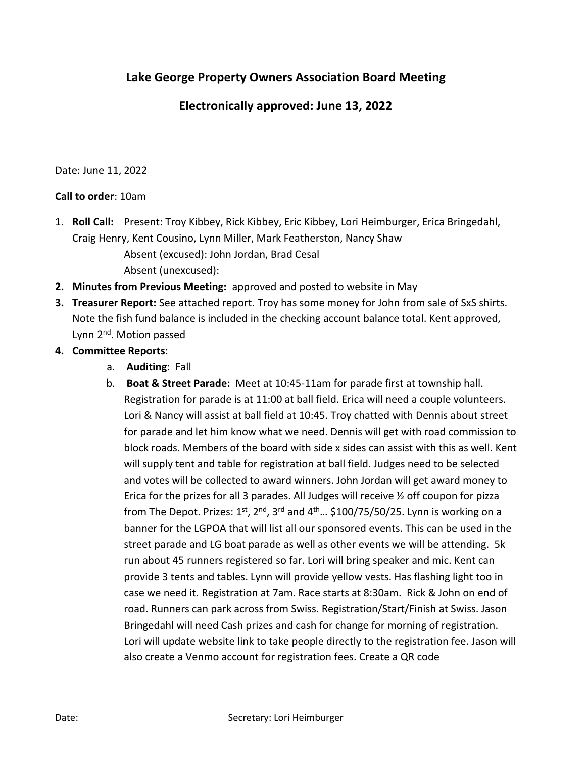## Lake George Property Owners Association Board Meet**ing**

## **Electronically approved**: June 1**3**, 2022

Date: June 11, 2022

## Call to order: 10am

- 1. Roll Call: Present: Troy Kibbey, Rick Kibbey, Eric Kibbey, Lori Heimburger, Erica Bringedahl, Craig Henry, Kent Cousino, Lynn Miller, Mark Featherston, Nancy Shaw Absent (excused): John Jordan, Brad Cesal Absent (unexcused):
- **2.** Minutes from Previous Meeting: approved and posted to website in May
- **3.** Treasurer Report: See attached report. Troy has some money for John from sale of SxS shirts. Note the fish fund balance is included in the checking account balance total. Kent approved, Lynn 2<sup>nd</sup>. Motion passed
- **4.** Committee Reports:
	- a. Auditing: Fall
	- b. Boat & Street Parade: Meet at 10:45-11am for parade first at township hall. Registration for parade is at 11:00 at ball field. Erica will need a couple volunteers. Lori & Nancy will assist at ball field at 10:45. Troy chatted with Dennis about street for parade and let him know what we need. Dennis will get with road commission to block roads. Members of the board with side x sides can assist with this as well. Kent will supply tent and table for registration at ball field. Judges need to be selected and votes will be collected to award winners. John Jordan will get award money to Erica for the prizes for all 3 parades. All Judges will receive ½ off coupon for pizza from The Depot. Prizes:  $1^{st}$ ,  $2^{nd}$ ,  $3^{rd}$  and  $4^{th}$ ... \$100/75/50/25. Lynn is working on a banner for the LGPOA that will list all our sponsored events. This can be used in the street parade and LG boat parade as well as other events we will be attending. 5k run about 45 runners registered so far. Lori will bring speaker and mic. Kent can provide 3 tents and tables. Lynn will provide yellow vests. Has flashing light too in case we need it. Registration at 7am. Race starts at 8:30am. Rick & John on end of road. Runners can park across from Swiss. Registration/Start/Finish at Swiss. Jason Bringedahl will need Cash prizes and cash for change for morning of registration. Lori will update website link to take people directly to the registration fee. Jason will also create a Venmo account for registration fees. Create a QR code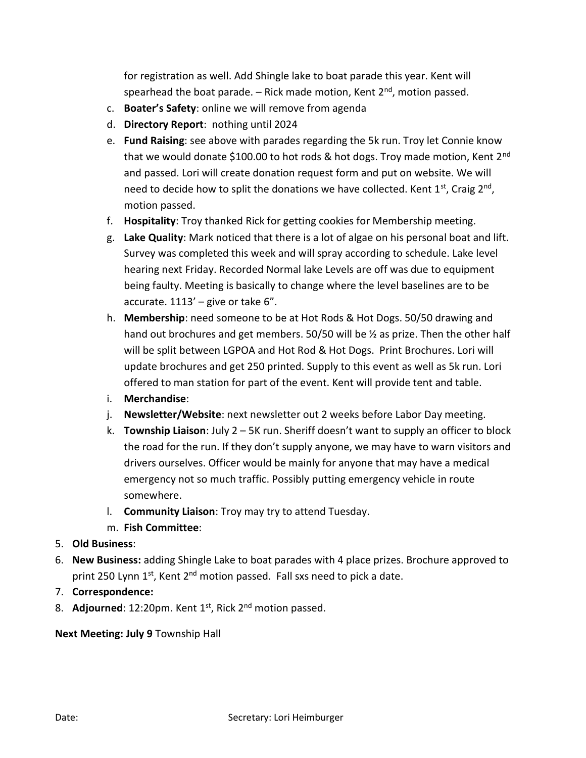for registration as well. Add Shingle lake to boat parade this year. Kent will spearhead the boat parade.  $-$  Rick made motion, Kent  $2<sup>nd</sup>$ , motion passed.

- c. Boater's Safety: online we will remove from agenda
- d. Directory Report: nothing until 2024
- e. Fund Raising: see above with parades regarding the 5k run. Troy let Connie know that we would donate \$100.00 to hot rods & hot dogs. Troy made motion, Kent 2<sup>nd</sup> and passed. Lori will create donation request form and put on website. We will need to decide how to split the donations we have collected. Kent  $1<sup>st</sup>$ , Craig  $2<sup>nd</sup>$ , motion passed.
- f. Hospitality: Troy thanked Rick for getting cookies for Membership meeting.
- g. Lake Quality: Mark noticed that there is a lot of algae on his personal boat and lift. Survey was completed this week and will spray according to schedule. Lake level hearing next Friday. Recorded Normal lake Levels are off was due to equipment being faulty. Meeting is basically to change where the level baselines are to be accurate.  $1113'$  – give or take 6".
- h. Membership: need someone to be at Hot Rods & Hot Dogs. 50/50 drawing and hand out brochures and get members. 50/50 will be ½ as prize. Then the other half will be split between LGPOA and Hot Rod & Hot Dogs. Print Brochures. Lori will update brochures and get 250 printed. Supply to this event as well as 5k run. Lori offered to man station for part of the event. Kent will provide tent and table.
- i. Merchandise:
- j. Newsletter/Website: next newsletter out 2 weeks before Labor Day meeting.
- k. **Township Liaison**: July  $2 5K$  run. Sheriff doesn't want to supply an officer to block the road for the run. If they don't supply anyone, we may have to warn visitors and drivers ourselves. Officer would be mainly for anyone that may have a medical emergency not so much traffic. Possibly putting emergency vehicle in route somewhere.
- l. Community Liaison: Troy may try to attend Tuesday.
- m. Fish Committee:
- 5. Old Business:
- 6. New Business: adding Shingle Lake to boat parades with 4 place prizes. Brochure approved to print 250 Lynn 1<sup>st</sup>, Kent 2<sup>nd</sup> motion passed. Fall sxs need to pick a date.
- 7. Correspondence:
- 8. Adjourned:  $12:20$ pm. Kent  $1^{st}$ , Rick  $2^{nd}$  motion passed.

Next Meeting: July 9 Township Hall